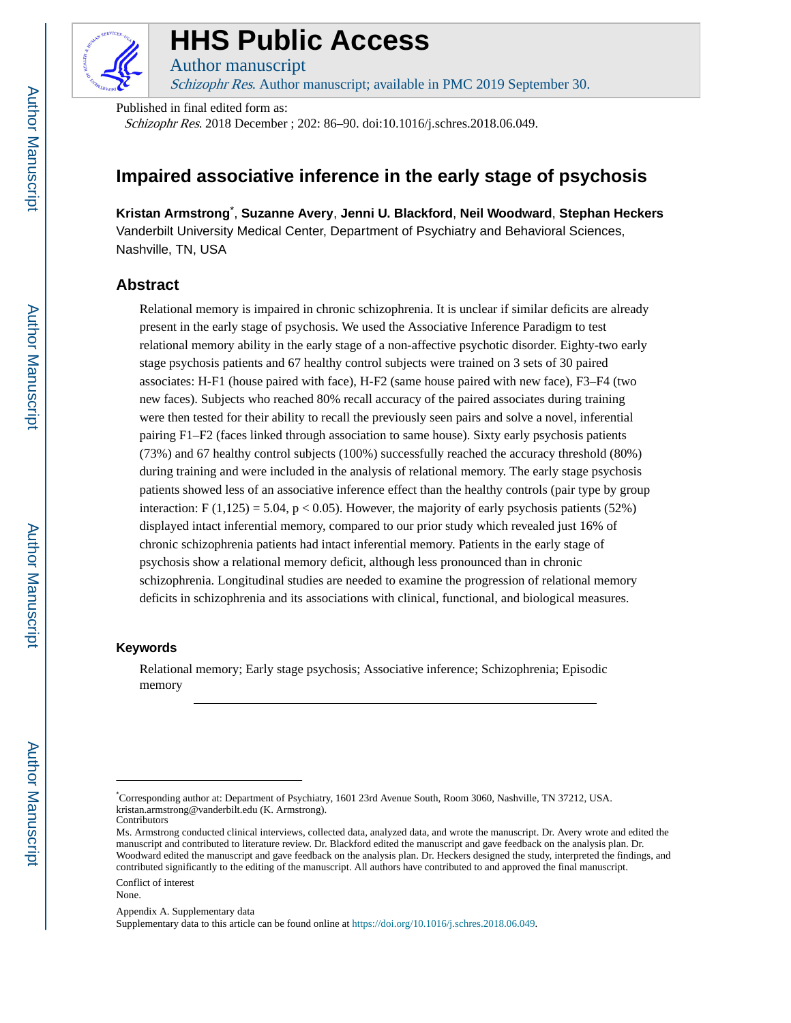

# **HHS Public Access**

Author manuscript Schizophr Res. Author manuscript; available in PMC 2019 September 30.

Published in final edited form as:

Schizophr Res. 2018 December ; 202: 86–90. doi:10.1016/j.schres.2018.06.049.

# **Impaired associative inference in the early stage of psychosis**

**Kristan Armstrong**\* , **Suzanne Avery**, **Jenni U. Blackford**, **Neil Woodward**, **Stephan Heckers** Vanderbilt University Medical Center, Department of Psychiatry and Behavioral Sciences, Nashville, TN, USA

### **Abstract**

Relational memory is impaired in chronic schizophrenia. It is unclear if similar deficits are already present in the early stage of psychosis. We used the Associative Inference Paradigm to test relational memory ability in the early stage of a non-affective psychotic disorder. Eighty-two early stage psychosis patients and 67 healthy control subjects were trained on 3 sets of 30 paired associates: H-F1 (house paired with face), H-F2 (same house paired with new face), F3–F4 (two new faces). Subjects who reached 80% recall accuracy of the paired associates during training were then tested for their ability to recall the previously seen pairs and solve a novel, inferential pairing F1–F2 (faces linked through association to same house). Sixty early psychosis patients (73%) and 67 healthy control subjects (100%) successfully reached the accuracy threshold (80%) during training and were included in the analysis of relational memory. The early stage psychosis patients showed less of an associative inference effect than the healthy controls (pair type by group interaction:  $F(1,125) = 5.04$ ,  $p < 0.05$ ). However, the majority of early psychosis patients (52%) displayed intact inferential memory, compared to our prior study which revealed just 16% of chronic schizophrenia patients had intact inferential memory. Patients in the early stage of psychosis show a relational memory deficit, although less pronounced than in chronic schizophrenia. Longitudinal studies are needed to examine the progression of relational memory deficits in schizophrenia and its associations with clinical, functional, and biological measures.

#### **Keywords**

Relational memory; Early stage psychosis; Associative inference; Schizophrenia; Episodic memory

<sup>\*</sup>Corresponding author at: Department of Psychiatry, 1601 23rd Avenue South, Room 3060, Nashville, TN 37212, USA. kristan.armstrong@vanderbilt.edu (K. Armstrong).

**Contributors** 

Ms. Armstrong conducted clinical interviews, collected data, analyzed data, and wrote the manuscript. Dr. Avery wrote and edited the manuscript and contributed to literature review. Dr. Blackford edited the manuscript and gave feedback on the analysis plan. Dr. Woodward edited the manuscript and gave feedback on the analysis plan. Dr. Heckers designed the study, interpreted the findings, and contributed significantly to the editing of the manuscript. All authors have contributed to and approved the final manuscript.

Conflict of interest None.

Appendix A. Supplementary data

Supplementary data to this article can be found online at <https://doi.org/10.1016/j.schres.2018.06.049>.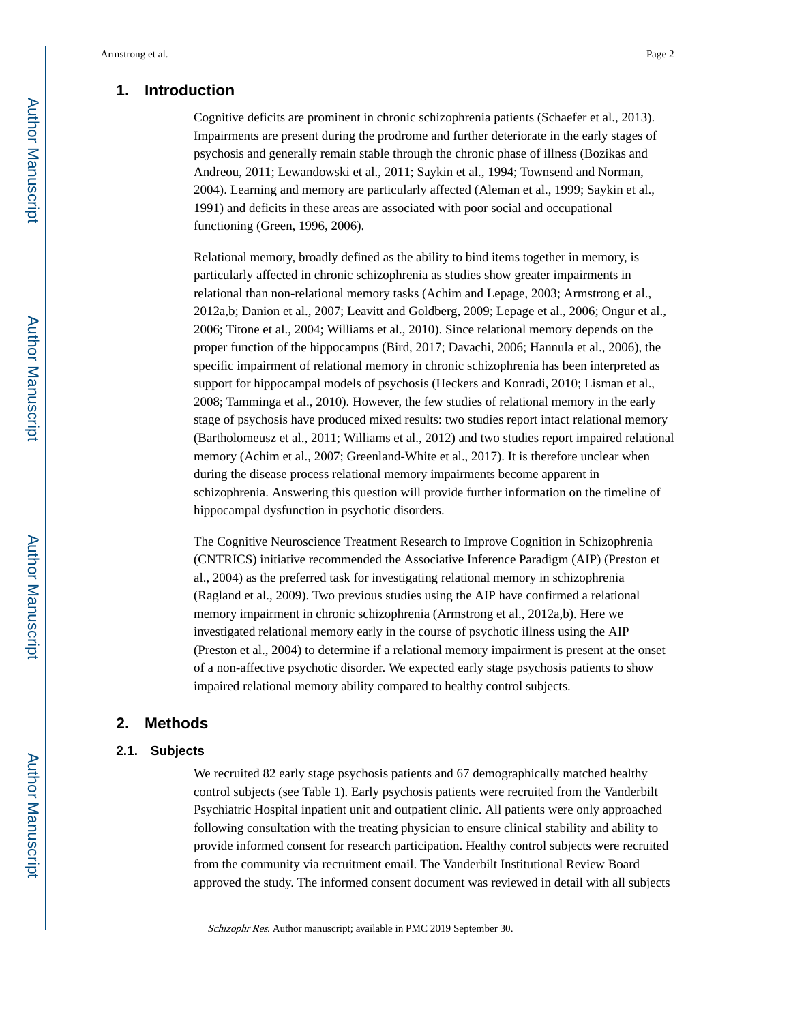# **1. Introduction**

Cognitive deficits are prominent in chronic schizophrenia patients (Schaefer et al., 2013). Impairments are present during the prodrome and further deteriorate in the early stages of psychosis and generally remain stable through the chronic phase of illness (Bozikas and Andreou, 2011; Lewandowski et al., 2011; Saykin et al., 1994; Townsend and Norman, 2004). Learning and memory are particularly affected (Aleman et al., 1999; Saykin et al., 1991) and deficits in these areas are associated with poor social and occupational functioning (Green, 1996, 2006).

Relational memory, broadly defined as the ability to bind items together in memory, is particularly affected in chronic schizophrenia as studies show greater impairments in relational than non-relational memory tasks (Achim and Lepage, 2003; Armstrong et al., 2012a,b; Danion et al., 2007; Leavitt and Goldberg, 2009; Lepage et al., 2006; Ongur et al., 2006; Titone et al., 2004; Williams et al., 2010). Since relational memory depends on the proper function of the hippocampus (Bird, 2017; Davachi, 2006; Hannula et al., 2006), the specific impairment of relational memory in chronic schizophrenia has been interpreted as support for hippocampal models of psychosis (Heckers and Konradi, 2010; Lisman et al., 2008; Tamminga et al., 2010). However, the few studies of relational memory in the early stage of psychosis have produced mixed results: two studies report intact relational memory (Bartholomeusz et al., 2011; Williams et al., 2012) and two studies report impaired relational memory (Achim et al., 2007; Greenland-White et al., 2017). It is therefore unclear when during the disease process relational memory impairments become apparent in schizophrenia. Answering this question will provide further information on the timeline of hippocampal dysfunction in psychotic disorders.

The Cognitive Neuroscience Treatment Research to Improve Cognition in Schizophrenia (CNTRICS) initiative recommended the Associative Inference Paradigm (AIP) (Preston et al., 2004) as the preferred task for investigating relational memory in schizophrenia (Ragland et al., 2009). Two previous studies using the AIP have confirmed a relational memory impairment in chronic schizophrenia (Armstrong et al., 2012a,b). Here we investigated relational memory early in the course of psychotic illness using the AIP (Preston et al., 2004) to determine if a relational memory impairment is present at the onset of a non-affective psychotic disorder. We expected early stage psychosis patients to show impaired relational memory ability compared to healthy control subjects.

# **2. Methods**

#### **2.1. Subjects**

We recruited 82 early stage psychosis patients and 67 demographically matched healthy control subjects (see Table 1). Early psychosis patients were recruited from the Vanderbilt Psychiatric Hospital inpatient unit and outpatient clinic. All patients were only approached following consultation with the treating physician to ensure clinical stability and ability to provide informed consent for research participation. Healthy control subjects were recruited from the community via recruitment email. The Vanderbilt Institutional Review Board approved the study. The informed consent document was reviewed in detail with all subjects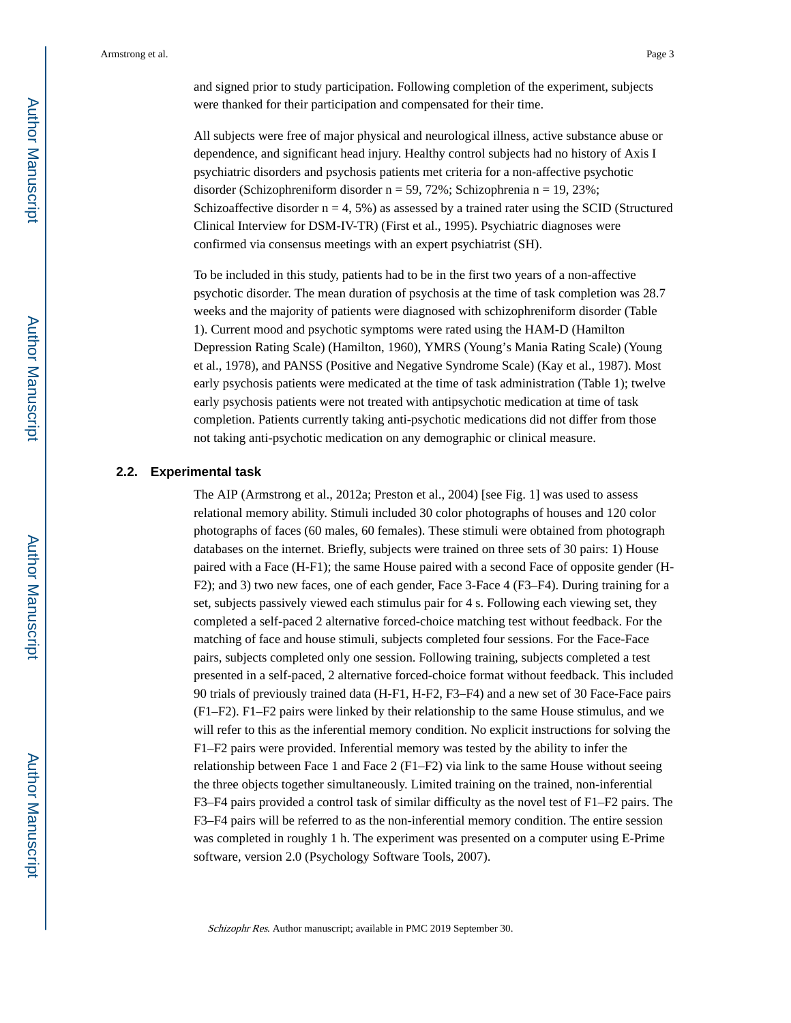and signed prior to study participation. Following completion of the experiment, subjects were thanked for their participation and compensated for their time.

All subjects were free of major physical and neurological illness, active substance abuse or dependence, and significant head injury. Healthy control subjects had no history of Axis I psychiatric disorders and psychosis patients met criteria for a non-affective psychotic disorder (Schizophreniform disorder  $n = 59, 72\%$ ; Schizophrenia  $n = 19, 23\%$ ; Schizoaffective disorder  $n = 4, 5\%$ ) as assessed by a trained rater using the SCID (Structured Clinical Interview for DSM-IV-TR) (First et al., 1995). Psychiatric diagnoses were confirmed via consensus meetings with an expert psychiatrist (SH).

To be included in this study, patients had to be in the first two years of a non-affective psychotic disorder. The mean duration of psychosis at the time of task completion was 28.7 weeks and the majority of patients were diagnosed with schizophreniform disorder (Table 1). Current mood and psychotic symptoms were rated using the HAM-D (Hamilton Depression Rating Scale) (Hamilton, 1960), YMRS (Young's Mania Rating Scale) (Young et al., 1978), and PANSS (Positive and Negative Syndrome Scale) (Kay et al., 1987). Most early psychosis patients were medicated at the time of task administration (Table 1); twelve early psychosis patients were not treated with antipsychotic medication at time of task completion. Patients currently taking anti-psychotic medications did not differ from those not taking anti-psychotic medication on any demographic or clinical measure.

#### **2.2. Experimental task**

The AIP (Armstrong et al., 2012a; Preston et al., 2004) [see Fig. 1] was used to assess relational memory ability. Stimuli included 30 color photographs of houses and 120 color photographs of faces (60 males, 60 females). These stimuli were obtained from photograph databases on the internet. Briefly, subjects were trained on three sets of 30 pairs: 1) House paired with a Face (H-F1); the same House paired with a second Face of opposite gender (H-F2); and 3) two new faces, one of each gender, Face 3-Face 4 (F3–F4). During training for a set, subjects passively viewed each stimulus pair for 4 s. Following each viewing set, they completed a self-paced 2 alternative forced-choice matching test without feedback. For the matching of face and house stimuli, subjects completed four sessions. For the Face-Face pairs, subjects completed only one session. Following training, subjects completed a test presented in a self-paced, 2 alternative forced-choice format without feedback. This included 90 trials of previously trained data (H-F1, H-F2, F3–F4) and a new set of 30 Face-Face pairs (F1–F2). F1–F2 pairs were linked by their relationship to the same House stimulus, and we will refer to this as the inferential memory condition. No explicit instructions for solving the F1–F2 pairs were provided. Inferential memory was tested by the ability to infer the relationship between Face 1 and Face 2 ( $F1-F2$ ) via link to the same House without seeing the three objects together simultaneously. Limited training on the trained, non-inferential F3–F4 pairs provided a control task of similar difficulty as the novel test of F1–F2 pairs. The F3–F4 pairs will be referred to as the non-inferential memory condition. The entire session was completed in roughly 1 h. The experiment was presented on a computer using E-Prime software, version 2.0 (Psychology Software Tools, 2007).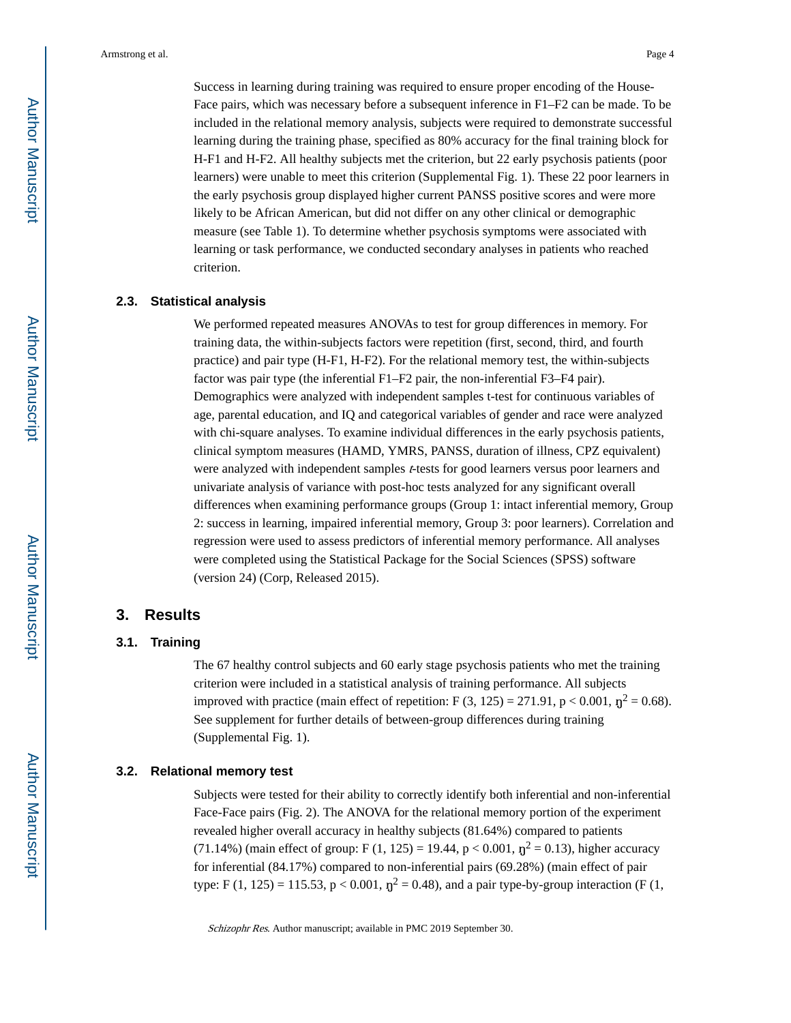Success in learning during training was required to ensure proper encoding of the House-Face pairs, which was necessary before a subsequent inference in F1–F2 can be made. To be included in the relational memory analysis, subjects were required to demonstrate successful learning during the training phase, specified as 80% accuracy for the final training block for H-F1 and H-F2. All healthy subjects met the criterion, but 22 early psychosis patients (poor learners) were unable to meet this criterion (Supplemental Fig. 1). These 22 poor learners in the early psychosis group displayed higher current PANSS positive scores and were more likely to be African American, but did not differ on any other clinical or demographic measure (see Table 1). To determine whether psychosis symptoms were associated with learning or task performance, we conducted secondary analyses in patients who reached criterion.

#### **2.3. Statistical analysis**

We performed repeated measures ANOVAs to test for group differences in memory. For training data, the within-subjects factors were repetition (first, second, third, and fourth practice) and pair type (H-F1, H-F2). For the relational memory test, the within-subjects factor was pair type (the inferential F1–F2 pair, the non-inferential F3–F4 pair). Demographics were analyzed with independent samples t-test for continuous variables of age, parental education, and IQ and categorical variables of gender and race were analyzed with chi-square analyses. To examine individual differences in the early psychosis patients, clinical symptom measures (HAMD, YMRS, PANSS, duration of illness, CPZ equivalent) were analyzed with independent samples t-tests for good learners versus poor learners and univariate analysis of variance with post-hoc tests analyzed for any significant overall differences when examining performance groups (Group 1: intact inferential memory, Group 2: success in learning, impaired inferential memory, Group 3: poor learners). Correlation and regression were used to assess predictors of inferential memory performance. All analyses were completed using the Statistical Package for the Social Sciences (SPSS) software (version 24) (Corp, Released 2015).

#### **3. Results**

#### **3.1. Training**

The 67 healthy control subjects and 60 early stage psychosis patients who met the training criterion were included in a statistical analysis of training performance. All subjects improved with practice (main effect of repetition: F  $(3, 125) = 271.91$ , p < 0.001,  $\eta^2 = 0.68$ ). See supplement for further details of between-group differences during training (Supplemental Fig. 1).

#### **3.2. Relational memory test**

Subjects were tested for their ability to correctly identify both inferential and non-inferential Face-Face pairs (Fig. 2). The ANOVA for the relational memory portion of the experiment revealed higher overall accuracy in healthy subjects (81.64%) compared to patients (71.14%) (main effect of group: F (1, 125) = 19.44,  $p < 0.001$ ,  $\eta^2 = 0.13$ ), higher accuracy for inferential (84.17%) compared to non-inferential pairs (69.28%) (main effect of pair type: F (1, 125) = 115.53, p < 0.001,  $\eta^2$  = 0.48), and a pair type-by-group interaction (F (1,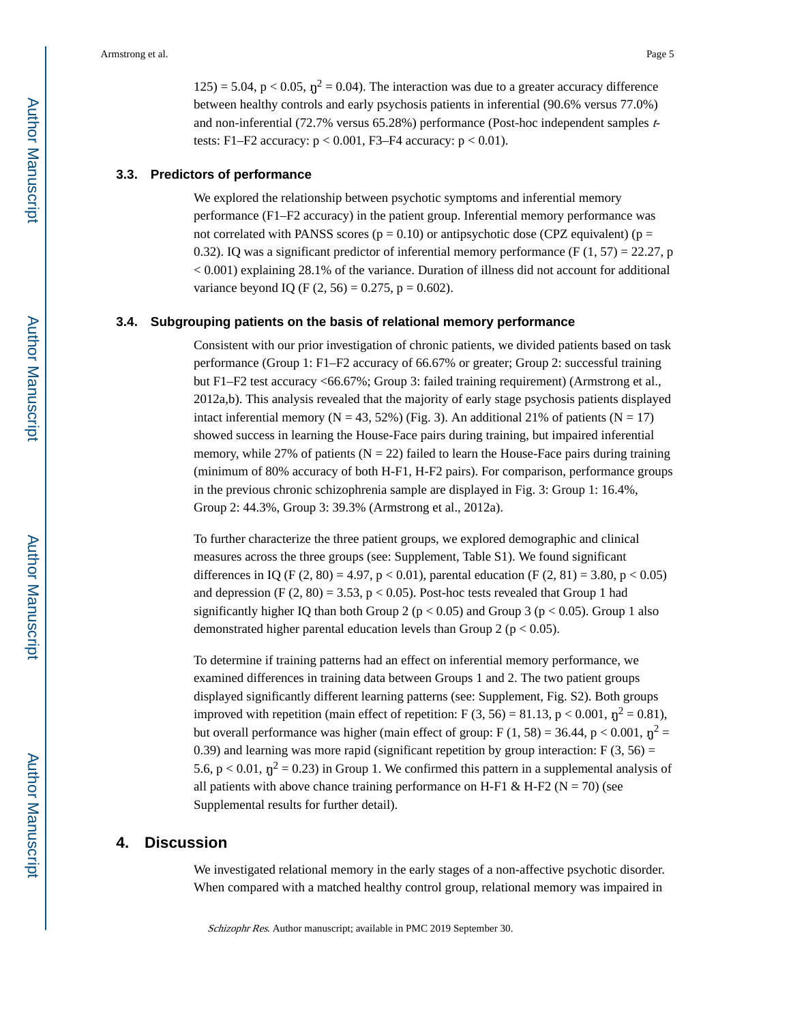$125$ ) = 5.04, p < 0.05,  $\eta^2$  = 0.04). The interaction was due to a greater accuracy difference between healthy controls and early psychosis patients in inferential (90.6% versus 77.0%) and non-inferential (72.7% versus 65.28%) performance (Post-hoc independent samples  $t$ tests: F1–F2 accuracy:  $p < 0.001$ , F3–F4 accuracy:  $p < 0.01$ ).

#### **3.3. Predictors of performance**

We explored the relationship between psychotic symptoms and inferential memory performance (F1–F2 accuracy) in the patient group. Inferential memory performance was not correlated with PANSS scores ( $p = 0.10$ ) or antipsychotic dose (CPZ equivalent) ( $p =$ 0.32). IQ was a significant predictor of inferential memory performance (F  $(1, 57) = 22.27$ , p < 0.001) explaining 28.1% of the variance. Duration of illness did not account for additional variance beyond IQ (F  $(2, 56) = 0.275$ , p = 0.602).

#### **3.4. Subgrouping patients on the basis of relational memory performance**

Consistent with our prior investigation of chronic patients, we divided patients based on task performance (Group 1: F1–F2 accuracy of 66.67% or greater; Group 2: successful training but F1–F2 test accuracy <66.67%; Group 3: failed training requirement) (Armstrong et al., 2012a,b). This analysis revealed that the majority of early stage psychosis patients displayed intact inferential memory ( $N = 43, 52\%$ ) (Fig. 3). An additional 21% of patients ( $N = 17$ ) showed success in learning the House-Face pairs during training, but impaired inferential memory, while 27% of patients  $(N = 22)$  failed to learn the House-Face pairs during training (minimum of 80% accuracy of both H-F1, H-F2 pairs). For comparison, performance groups in the previous chronic schizophrenia sample are displayed in Fig. 3: Group 1: 16.4%, Group 2: 44.3%, Group 3: 39.3% (Armstrong et al., 2012a).

To further characterize the three patient groups, we explored demographic and clinical measures across the three groups (see: Supplement, Table S1). We found significant differences in IQ (F  $(2, 80) = 4.97$ , p < 0.01), parental education (F  $(2, 81) = 3.80$ , p < 0.05) and depression (F  $(2, 80) = 3.53$ ,  $p < 0.05$ ). Post-hoc tests revealed that Group 1 had significantly higher IQ than both Group 2 ( $p < 0.05$ ) and Group 3 ( $p < 0.05$ ). Group 1 also demonstrated higher parental education levels than Group 2 ( $p < 0.05$ ).

To determine if training patterns had an effect on inferential memory performance, we examined differences in training data between Groups 1 and 2. The two patient groups displayed significantly different learning patterns (see: Supplement, Fig. S2). Both groups improved with repetition (main effect of repetition: F (3, 56) = 81.13, p < 0.001,  $\eta^2 = 0.81$ ), but overall performance was higher (main effect of group: F (1, 58) = 36.44, p < 0.001,  $\eta^2$  = 0.39) and learning was more rapid (significant repetition by group interaction:  $F(3, 56) =$ 5.6,  $p < 0.01$ ,  $\eta^2 = 0.23$ ) in Group 1. We confirmed this pattern in a supplemental analysis of all patients with above chance training performance on H-F1 & H-F2 ( $N = 70$ ) (see Supplemental results for further detail).

#### **4. Discussion**

We investigated relational memory in the early stages of a non-affective psychotic disorder. When compared with a matched healthy control group, relational memory was impaired in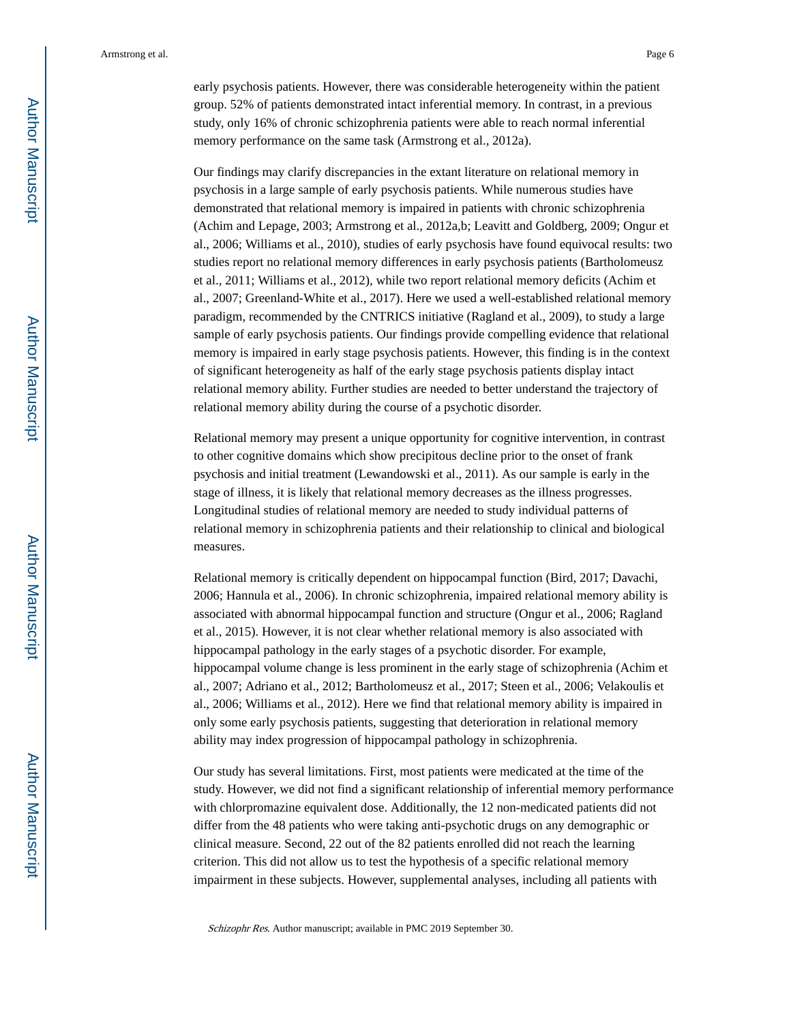early psychosis patients. However, there was considerable heterogeneity within the patient group. 52% of patients demonstrated intact inferential memory. In contrast, in a previous study, only 16% of chronic schizophrenia patients were able to reach normal inferential memory performance on the same task (Armstrong et al., 2012a).

Our findings may clarify discrepancies in the extant literature on relational memory in psychosis in a large sample of early psychosis patients. While numerous studies have demonstrated that relational memory is impaired in patients with chronic schizophrenia (Achim and Lepage, 2003; Armstrong et al., 2012a,b; Leavitt and Goldberg, 2009; Ongur et al., 2006; Williams et al., 2010), studies of early psychosis have found equivocal results: two studies report no relational memory differences in early psychosis patients (Bartholomeusz et al., 2011; Williams et al., 2012), while two report relational memory deficits (Achim et al., 2007; Greenland-White et al., 2017). Here we used a well-established relational memory paradigm, recommended by the CNTRICS initiative (Ragland et al., 2009), to study a large sample of early psychosis patients. Our findings provide compelling evidence that relational memory is impaired in early stage psychosis patients. However, this finding is in the context of significant heterogeneity as half of the early stage psychosis patients display intact relational memory ability. Further studies are needed to better understand the trajectory of relational memory ability during the course of a psychotic disorder.

Relational memory may present a unique opportunity for cognitive intervention, in contrast to other cognitive domains which show precipitous decline prior to the onset of frank psychosis and initial treatment (Lewandowski et al., 2011). As our sample is early in the stage of illness, it is likely that relational memory decreases as the illness progresses. Longitudinal studies of relational memory are needed to study individual patterns of relational memory in schizophrenia patients and their relationship to clinical and biological measures.

Relational memory is critically dependent on hippocampal function (Bird, 2017; Davachi, 2006; Hannula et al., 2006). In chronic schizophrenia, impaired relational memory ability is associated with abnormal hippocampal function and structure (Ongur et al., 2006; Ragland et al., 2015). However, it is not clear whether relational memory is also associated with hippocampal pathology in the early stages of a psychotic disorder. For example, hippocampal volume change is less prominent in the early stage of schizophrenia (Achim et al., 2007; Adriano et al., 2012; Bartholomeusz et al., 2017; Steen et al., 2006; Velakoulis et al., 2006; Williams et al., 2012). Here we find that relational memory ability is impaired in only some early psychosis patients, suggesting that deterioration in relational memory ability may index progression of hippocampal pathology in schizophrenia.

Our study has several limitations. First, most patients were medicated at the time of the study. However, we did not find a significant relationship of inferential memory performance with chlorpromazine equivalent dose. Additionally, the 12 non-medicated patients did not differ from the 48 patients who were taking anti-psychotic drugs on any demographic or clinical measure. Second, 22 out of the 82 patients enrolled did not reach the learning criterion. This did not allow us to test the hypothesis of a specific relational memory impairment in these subjects. However, supplemental analyses, including all patients with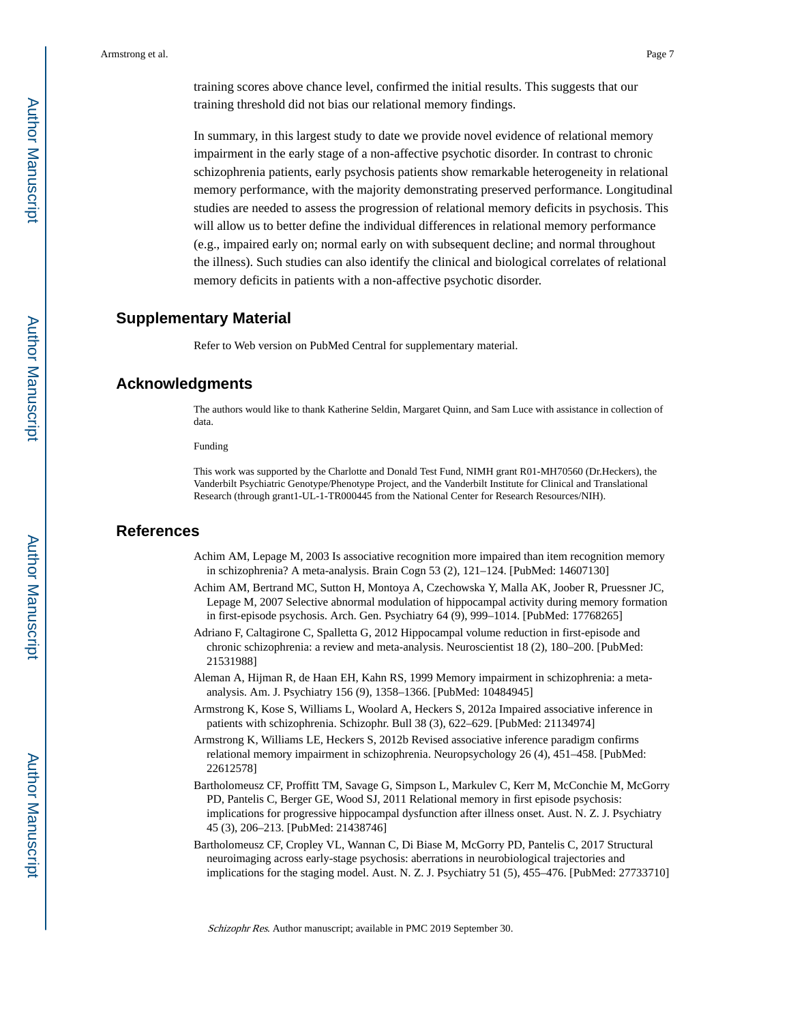training scores above chance level, confirmed the initial results. This suggests that our training threshold did not bias our relational memory findings.

In summary, in this largest study to date we provide novel evidence of relational memory impairment in the early stage of a non-affective psychotic disorder. In contrast to chronic schizophrenia patients, early psychosis patients show remarkable heterogeneity in relational memory performance, with the majority demonstrating preserved performance. Longitudinal studies are needed to assess the progression of relational memory deficits in psychosis. This will allow us to better define the individual differences in relational memory performance (e.g., impaired early on; normal early on with subsequent decline; and normal throughout the illness). Such studies can also identify the clinical and biological correlates of relational memory deficits in patients with a non-affective psychotic disorder.

# **Supplementary Material**

Refer to Web version on PubMed Central for supplementary material.

# **Acknowledgments**

The authors would like to thank Katherine Seldin, Margaret Quinn, and Sam Luce with assistance in collection of data.

Funding

This work was supported by the Charlotte and Donald Test Fund, NIMH grant R01-MH70560 (Dr.Heckers), the Vanderbilt Psychiatric Genotype/Phenotype Project, and the Vanderbilt Institute for Clinical and Translational Research (through grant1-UL-1-TR000445 from the National Center for Research Resources/NIH).

#### **References**

- Achim AM, Lepage M, 2003 Is associative recognition more impaired than item recognition memory in schizophrenia? A meta-analysis. Brain Cogn 53 (2), 121–124. [PubMed: 14607130]
- Achim AM, Bertrand MC, Sutton H, Montoya A, Czechowska Y, Malla AK, Joober R, Pruessner JC, Lepage M, 2007 Selective abnormal modulation of hippocampal activity during memory formation in first-episode psychosis. Arch. Gen. Psychiatry 64 (9), 999–1014. [PubMed: 17768265]
- Adriano F, Caltagirone C, Spalletta G, 2012 Hippocampal volume reduction in first-episode and chronic schizophrenia: a review and meta-analysis. Neuroscientist 18 (2), 180–200. [PubMed: 21531988]
- Aleman A, Hijman R, de Haan EH, Kahn RS, 1999 Memory impairment in schizophrenia: a metaanalysis. Am. J. Psychiatry 156 (9), 1358–1366. [PubMed: 10484945]
- Armstrong K, Kose S, Williams L, Woolard A, Heckers S, 2012a Impaired associative inference in patients with schizophrenia. Schizophr. Bull 38 (3), 622–629. [PubMed: 21134974]
- Armstrong K, Williams LE, Heckers S, 2012b Revised associative inference paradigm confirms relational memory impairment in schizophrenia. Neuropsychology 26 (4), 451–458. [PubMed: 22612578]
- Bartholomeusz CF, Proffitt TM, Savage G, Simpson L, Markulev C, Kerr M, McConchie M, McGorry PD, Pantelis C, Berger GE, Wood SJ, 2011 Relational memory in first episode psychosis: implications for progressive hippocampal dysfunction after illness onset. Aust. N. Z. J. Psychiatry 45 (3), 206–213. [PubMed: 21438746]
- Bartholomeusz CF, Cropley VL, Wannan C, Di Biase M, McGorry PD, Pantelis C, 2017 Structural neuroimaging across early-stage psychosis: aberrations in neurobiological trajectories and implications for the staging model. Aust. N. Z. J. Psychiatry 51 (5), 455–476. [PubMed: 27733710]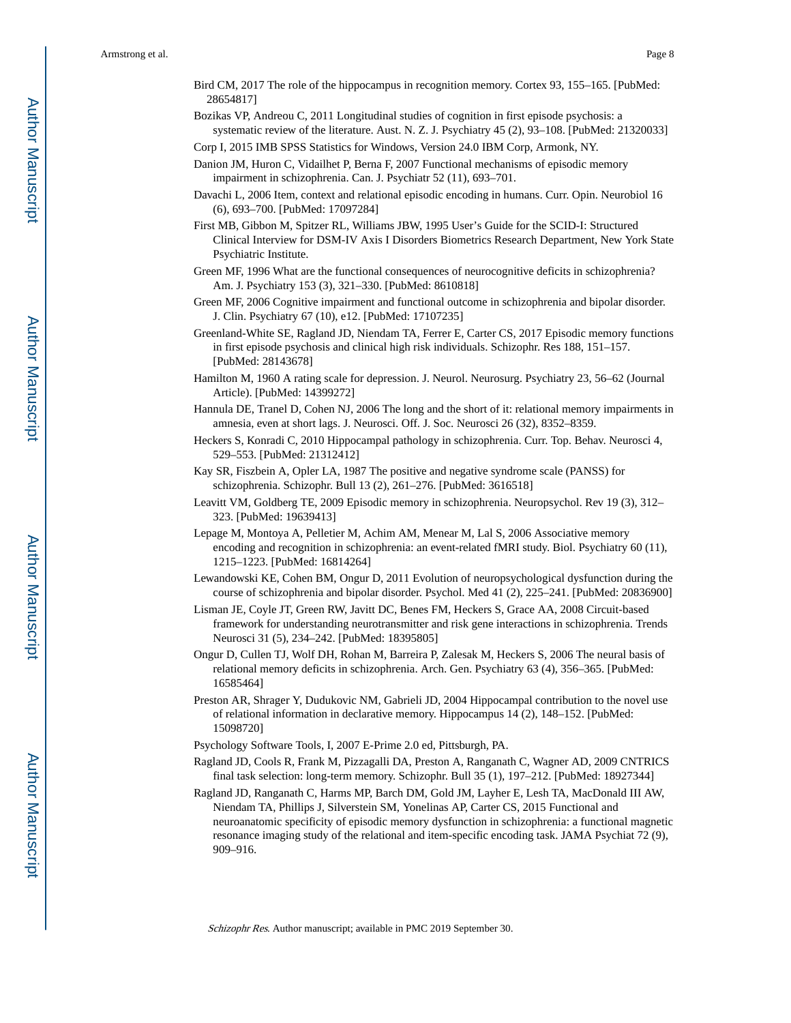- Bird CM, 2017 The role of the hippocampus in recognition memory. Cortex 93, 155–165. [PubMed: 28654817]
- Bozikas VP, Andreou C, 2011 Longitudinal studies of cognition in first episode psychosis: a systematic review of the literature. Aust. N. Z. J. Psychiatry 45 (2), 93–108. [PubMed: 21320033]
- Corp I, 2015 IMB SPSS Statistics for Windows, Version 24.0 IBM Corp, Armonk, NY.
- Danion JM, Huron C, Vidailhet P, Berna F, 2007 Functional mechanisms of episodic memory impairment in schizophrenia. Can. J. Psychiatr 52 (11), 693–701.
- Davachi L, 2006 Item, context and relational episodic encoding in humans. Curr. Opin. Neurobiol 16 (6), 693–700. [PubMed: 17097284]
- First MB, Gibbon M, Spitzer RL, Williams JBW, 1995 User's Guide for the SCID-I: Structured Clinical Interview for DSM-IV Axis I Disorders Biometrics Research Department, New York State Psychiatric Institute.
- Green MF, 1996 What are the functional consequences of neurocognitive deficits in schizophrenia? Am. J. Psychiatry 153 (3), 321–330. [PubMed: 8610818]
- Green MF, 2006 Cognitive impairment and functional outcome in schizophrenia and bipolar disorder. J. Clin. Psychiatry 67 (10), e12. [PubMed: 17107235]
- Greenland-White SE, Ragland JD, Niendam TA, Ferrer E, Carter CS, 2017 Episodic memory functions in first episode psychosis and clinical high risk individuals. Schizophr. Res 188, 151–157. [PubMed: 28143678]
- Hamilton M, 1960 A rating scale for depression. J. Neurol. Neurosurg. Psychiatry 23, 56–62 (Journal Article). [PubMed: 14399272]
- Hannula DE, Tranel D, Cohen NJ, 2006 The long and the short of it: relational memory impairments in amnesia, even at short lags. J. Neurosci. Off. J. Soc. Neurosci 26 (32), 8352–8359.
- Heckers S, Konradi C, 2010 Hippocampal pathology in schizophrenia. Curr. Top. Behav. Neurosci 4, 529–553. [PubMed: 21312412]
- Kay SR, Fiszbein A, Opler LA, 1987 The positive and negative syndrome scale (PANSS) for schizophrenia. Schizophr. Bull 13 (2), 261–276. [PubMed: 3616518]
- Leavitt VM, Goldberg TE, 2009 Episodic memory in schizophrenia. Neuropsychol. Rev 19 (3), 312– 323. [PubMed: 19639413]
- Lepage M, Montoya A, Pelletier M, Achim AM, Menear M, Lal S, 2006 Associative memory encoding and recognition in schizophrenia: an event-related fMRI study. Biol. Psychiatry 60 (11), 1215–1223. [PubMed: 16814264]
- Lewandowski KE, Cohen BM, Ongur D, 2011 Evolution of neuropsychological dysfunction during the course of schizophrenia and bipolar disorder. Psychol. Med 41 (2), 225–241. [PubMed: 20836900]
- Lisman JE, Coyle JT, Green RW, Javitt DC, Benes FM, Heckers S, Grace AA, 2008 Circuit-based framework for understanding neurotransmitter and risk gene interactions in schizophrenia. Trends Neurosci 31 (5), 234–242. [PubMed: 18395805]
- Ongur D, Cullen TJ, Wolf DH, Rohan M, Barreira P, Zalesak M, Heckers S, 2006 The neural basis of relational memory deficits in schizophrenia. Arch. Gen. Psychiatry 63 (4), 356–365. [PubMed: 16585464]
- Preston AR, Shrager Y, Dudukovic NM, Gabrieli JD, 2004 Hippocampal contribution to the novel use of relational information in declarative memory. Hippocampus 14 (2), 148–152. [PubMed: 15098720]
- Psychology Software Tools, I, 2007 E-Prime 2.0 ed, Pittsburgh, PA.
- Ragland JD, Cools R, Frank M, Pizzagalli DA, Preston A, Ranganath C, Wagner AD, 2009 CNTRICS final task selection: long-term memory. Schizophr. Bull 35 (1), 197–212. [PubMed: 18927344]
- Ragland JD, Ranganath C, Harms MP, Barch DM, Gold JM, Layher E, Lesh TA, MacDonald III AW, Niendam TA, Phillips J, Silverstein SM, Yonelinas AP, Carter CS, 2015 Functional and neuroanatomic specificity of episodic memory dysfunction in schizophrenia: a functional magnetic resonance imaging study of the relational and item-specific encoding task. JAMA Psychiat 72 (9), 909–916.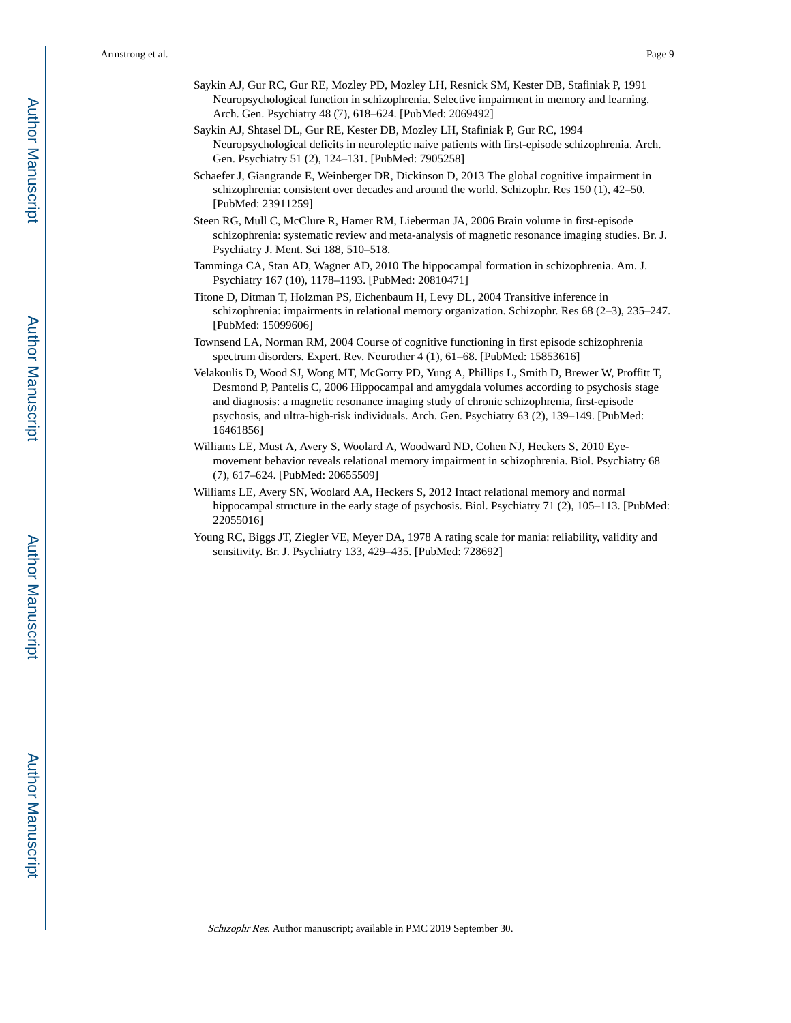- Saykin AJ, Gur RC, Gur RE, Mozley PD, Mozley LH, Resnick SM, Kester DB, Stafiniak P, 1991 Neuropsychological function in schizophrenia. Selective impairment in memory and learning. Arch. Gen. Psychiatry 48 (7), 618–624. [PubMed: 2069492]
- Saykin AJ, Shtasel DL, Gur RE, Kester DB, Mozley LH, Stafiniak P, Gur RC, 1994 Neuropsychological deficits in neuroleptic naive patients with first-episode schizophrenia. Arch. Gen. Psychiatry 51 (2), 124–131. [PubMed: 7905258]
- Schaefer J, Giangrande E, Weinberger DR, Dickinson D, 2013 The global cognitive impairment in schizophrenia: consistent over decades and around the world. Schizophr. Res 150 (1), 42–50. [PubMed: 23911259]
- Steen RG, Mull C, McClure R, Hamer RM, Lieberman JA, 2006 Brain volume in first-episode schizophrenia: systematic review and meta-analysis of magnetic resonance imaging studies. Br. J. Psychiatry J. Ment. Sci 188, 510–518.
- Tamminga CA, Stan AD, Wagner AD, 2010 The hippocampal formation in schizophrenia. Am. J. Psychiatry 167 (10), 1178–1193. [PubMed: 20810471]
- Titone D, Ditman T, Holzman PS, Eichenbaum H, Levy DL, 2004 Transitive inference in schizophrenia: impairments in relational memory organization. Schizophr. Res 68 (2–3), 235–247. [PubMed: 15099606]
- Townsend LA, Norman RM, 2004 Course of cognitive functioning in first episode schizophrenia spectrum disorders. Expert. Rev. Neurother 4 (1), 61–68. [PubMed: 15853616]
- Velakoulis D, Wood SJ, Wong MT, McGorry PD, Yung A, Phillips L, Smith D, Brewer W, Proffitt T, Desmond P, Pantelis C, 2006 Hippocampal and amygdala volumes according to psychosis stage and diagnosis: a magnetic resonance imaging study of chronic schizophrenia, first-episode psychosis, and ultra-high-risk individuals. Arch. Gen. Psychiatry 63 (2), 139–149. [PubMed: 16461856]
- Williams LE, Must A, Avery S, Woolard A, Woodward ND, Cohen NJ, Heckers S, 2010 Eyemovement behavior reveals relational memory impairment in schizophrenia. Biol. Psychiatry 68 (7), 617–624. [PubMed: 20655509]
- Williams LE, Avery SN, Woolard AA, Heckers S, 2012 Intact relational memory and normal hippocampal structure in the early stage of psychosis. Biol. Psychiatry 71 (2), 105–113. [PubMed: 22055016]
- Young RC, Biggs JT, Ziegler VE, Meyer DA, 1978 A rating scale for mania: reliability, validity and sensitivity. Br. J. Psychiatry 133, 429–435. [PubMed: 728692]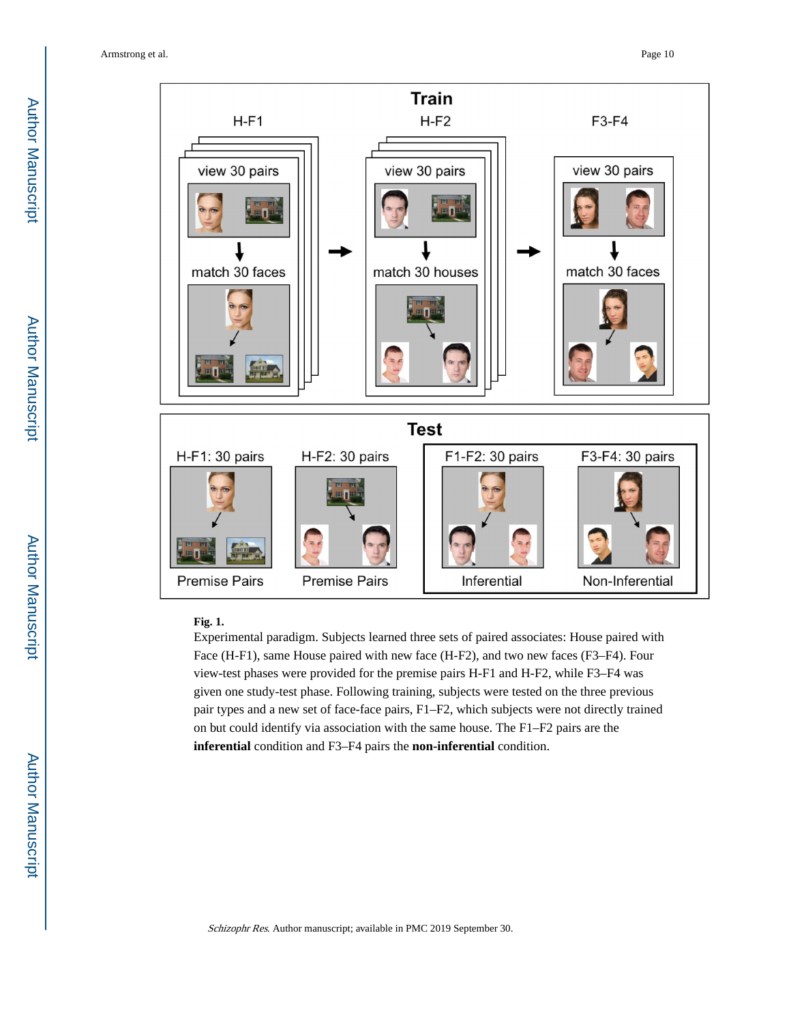

#### **Fig. 1.**

Experimental paradigm. Subjects learned three sets of paired associates: House paired with Face (H-F1), same House paired with new face (H-F2), and two new faces (F3–F4). Four view-test phases were provided for the premise pairs H-F1 and H-F2, while F3–F4 was given one study-test phase. Following training, subjects were tested on the three previous pair types and a new set of face-face pairs, F1–F2, which subjects were not directly trained on but could identify via association with the same house. The F1–F2 pairs are the **inferential** condition and F3–F4 pairs the **non-inferential** condition.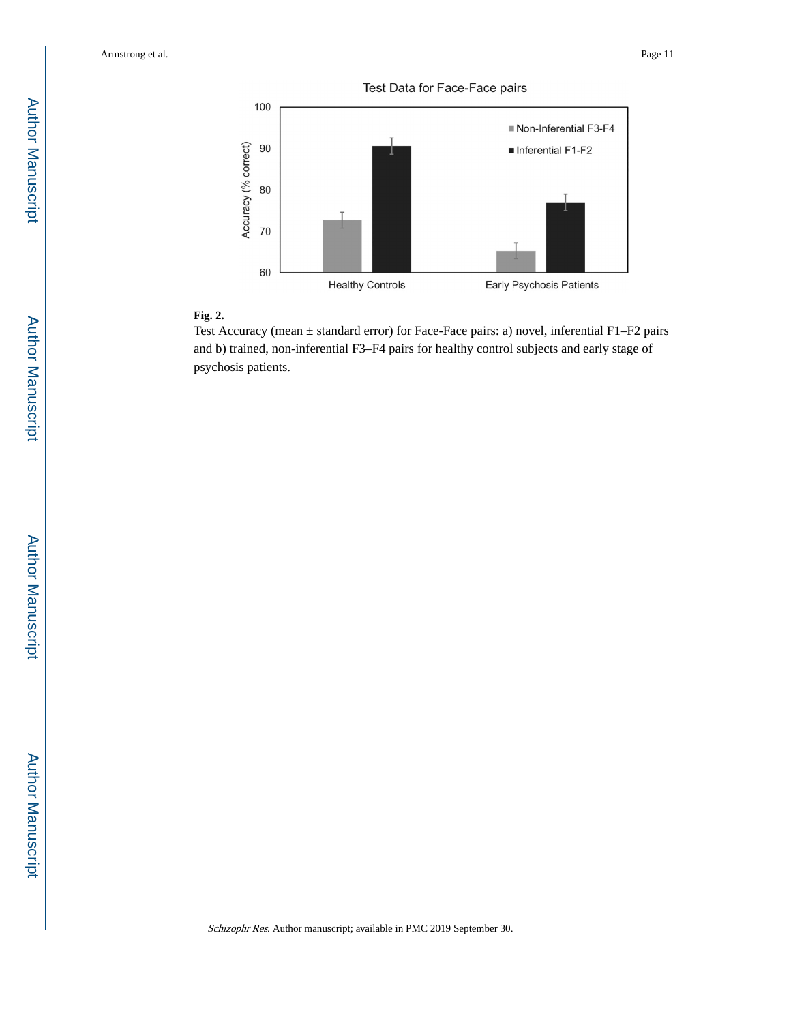



# **Fig. 2.**

Test Accuracy (mean ± standard error) for Face-Face pairs: a) novel, inferential F1–F2 pairs and b) trained, non-inferential F3–F4 pairs for healthy control subjects and early stage of psychosis patients.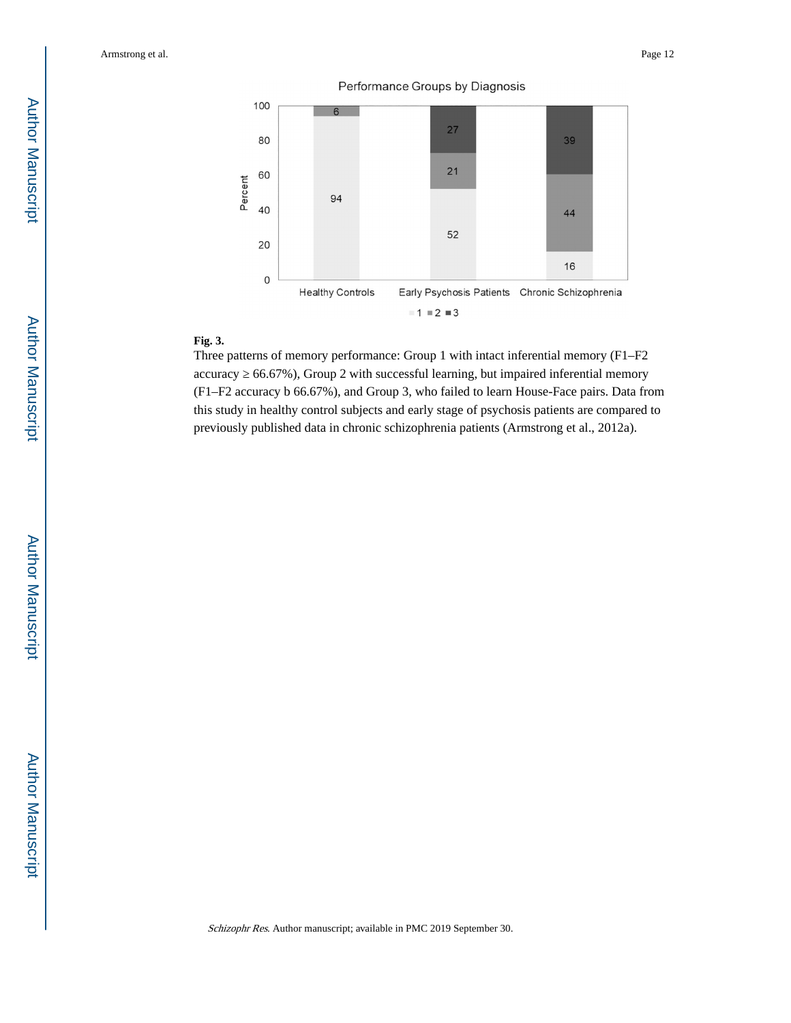



# **Fig. 3.**

Three patterns of memory performance: Group 1 with intact inferential memory (F1–F2 accuracy 66.67%), Group 2 with successful learning, but impaired inferential memory (F1–F2 accuracy b 66.67%), and Group 3, who failed to learn House-Face pairs. Data from this study in healthy control subjects and early stage of psychosis patients are compared to previously published data in chronic schizophrenia patients (Armstrong et al., 2012a).